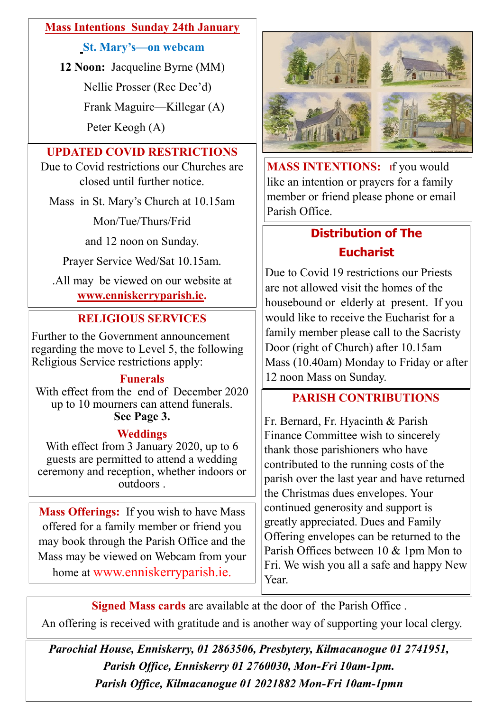#### **Mass Intentions Sunday 24th January**

**St. Mary's—on webcam**

**12 Noon:** Jacqueline Byrne (MM)

Nellie Prosser (Rec Dec'd)

Frank Maguire—Killegar (A)

Peter Keogh (A)

## **UPDATED COVID RESTRICTIONS**

Due to Covid restrictions our Churches are closed until further notice.

Mass in St. Mary's Church at 10.15am

Mon/Tue/Thurs/Frid

and 12 noon on Sunday.

Prayer Service Wed/Sat 10.15am.

.All may be viewed on our website at **[www.enniskerryparish.ie.](http://www.enniskerryparish.ie)**

# **RELIGIOUS SERVICES**

Further to the Government announcement regarding the move to Level 5, the following Religious Service restrictions apply:

#### **Funerals**

With effect from the end of December 2020 up to 10 mourners can attend funerals. **See Page 3.**

#### **Weddings**

With effect from 3 January 2020, up to 6 guests are permitted to attend a wedding ceremony and reception, whether indoors or outdoors .

**Mass Offerings:** If you wish to have Mass offered for a family member or friend you may book through the Parish Office and the Mass may be viewed on Webcam from your home at www.enniskerryparish.ie.



**MASS INTENTIONS: If** you would like an intention or prayers for a family member or friend please phone or email Parish Office.

# **Distribution of The Eucharist**

Due to Covid 19 restrictions our Priests are not allowed visit the homes of the housebound or elderly at present. If you would like to receive the Eucharist for a family member please call to the Sacristy Door (right of Church) after 10.15am Mass (10.40am) Monday to Friday or after 12 noon Mass on Sunday.

# **PARISH CONTRIBUTIONS**

Fr. Bernard, Fr. Hyacinth & Parish Finance Committee wish to sincerely thank those parishioners who have contributed to the running costs of the parish over the last year and have returned the Christmas dues envelopes. Your continued generosity and support is greatly appreciated. Dues and Family Offering envelopes can be returned to the Parish Offices between 10 & 1pm Mon to Fri. We wish you all a safe and happy New Year.

**Signed Mass cards** are available at the door of the Parish Office .

An offering is received with gratitude and is another way of supporting your local clergy.

*Parochial House, Enniskerry, 01 2863506, Presbytery, Kilmacanogue 01 2741951, Parish Office, Enniskerry 01 2760030, Mon-Fri 10am-1pm. Parish Office, Kilmacanogue 01 2021882 Mon-Fri 10am-1pmn*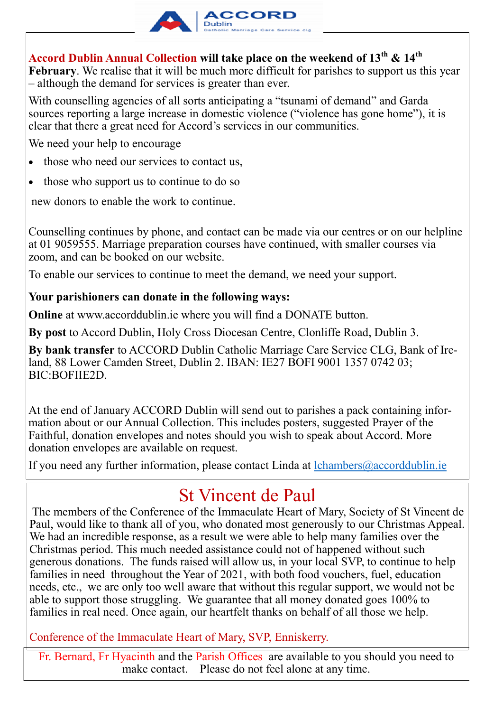

## **Accord Dublin Annual Collection will take place on the weekend of 13th & 14th**

**February**. We realise that it will be much more difficult for parishes to support us this year – although the demand for services is greater than ever.

With counselling agencies of all sorts anticipating a "tsunami of demand" and Garda sources reporting a large increase in domestic violence ("violence has gone home"), it is clear that there a great need for Accord's services in our communities.

We need your help to encourage

- those who need our services to contact us,
- those who support us to continue to do so

new donors to enable the work to continue.

Counselling continues by phone, and contact can be made via our centres or on our helpline at 01 9059555. Marriage preparation courses have continued, with smaller courses via zoom, and can be booked on our website.

To enable our services to continue to meet the demand, we need your support.

#### **Your parishioners can donate in the following ways:**

**Online** at [www.accorddublin.ie w](http://www.accorddublin.ie)here you will find a DONATE button.

**By post** to Accord Dublin, Holy Cross Diocesan Centre, Clonliffe Road, Dublin 3.

**By bank transfer** to ACCORD Dublin Catholic Marriage Care Service CLG, Bank of Ireland, 88 Lower Camden Street, Dublin 2. IBAN: IE27 BOFI 9001 1357 0742 03; BIC:BOFIIE2D.

At the end of January ACCORD Dublin will send out to parishes a pack containing information about or our Annual Collection. This includes posters, suggested Prayer of the Faithful, donation envelopes and notes should you wish to speak about Accord. More donation envelopes are available on request.

If you need any further information, please contact Linda at  $lchambers@accorddublin.ie$ 

# St Vincent de Paul

The members of the Conference of the Immaculate Heart of Mary, Society of St Vincent de Paul, would like to thank all of you, who donated most generously to our Christmas Appeal. We had an incredible response, as a result we were able to help many families over the Christmas period. This much needed assistance could not of happened without such generous donations. The funds raised will allow us, in your local SVP, to continue to help families in need throughout the Year of 2021, with both food vouchers, fuel, education needs, etc., we are only too well aware that without this regular support, we would not be able to support those struggling. We guarantee that all money donated goes 100% to families in real need. Once again, our heartfelt thanks on behalf of all those we help.

Conference of the Immaculate Heart of Mary, SVP, Enniskerry.

Fr. Bernard, Fr Hyacinth and the Parish Offices are available to you should you need to make contact. Please do not feel alone at any time.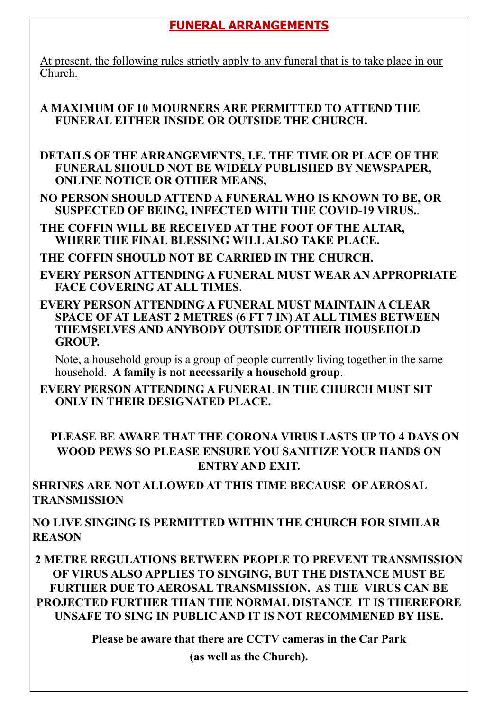## **FUNERAL ARRANGEMENTS**

At present, the following rules strictly apply to any funeral that is to take place in our Church.

#### **A MAXIMUM OF 10 MOURNERS ARE PERMITTED TO ATTEND THE FUNERAL EITHER INSIDE OR OUTSIDE THE CHURCH.**

**DETAILS OF THE ARRANGEMENTS, I.E. THE TIME OR PLACE OF THE FUNERAL SHOULD NOT BE WIDELY PUBLISHED BY NEWSPAPER, ONLINE NOTICE OR OTHER MEANS,** 

**NO PERSON SHOULD ATTEND A FUNERAL WHO IS KNOWN TO BE, OR SUSPECTED OF BEING, INFECTED WITH THE COVID-19 VIRUS.**.

**THE COFFIN WILL BE RECEIVED AT THE FOOT OF THE ALTAR, WHERE THE FINAL BLESSING WILL ALSO TAKE PLACE.**

**THE COFFIN SHOULD NOT BE CARRIED IN THE CHURCH.**

**EVERY PERSON ATTENDING A FUNERAL MUST WEAR AN APPROPRIATE FACE COVERING AT ALL TIMES.**

**EVERY PERSON ATTENDING A FUNERAL MUST MAINTAIN A CLEAR SPACE OF AT LEAST 2 METRES (6 FT 7 IN) AT ALL TIMES BETWEEN THEMSELVES AND ANYBODY OUTSIDE OF THEIR HOUSEHOLD GROUP.**

Note, a household group is a group of people currently living together in the same household. **A family is not necessarily a household group**.

**EVERY PERSON ATTENDING A FUNERAL IN THE CHURCH MUST SIT ONLY IN THEIR DESIGNATED PLACE.**

## **PLEASE BE AWARE THAT THE CORONA VIRUS LASTS UP TO 4 DAYS ON WOOD PEWS SO PLEASE ENSURE YOU SANITIZE YOUR HANDS ON ENTRY AND EXIT.**

**SHRINES ARE NOT ALLOWED AT THIS TIME BECAUSE OF AEROSAL TRANSMISSION**

**NO LIVE SINGING IS PERMITTED WITHIN THE CHURCH FOR SIMILAR REASON**

**2 METRE REGULATIONS BETWEEN PEOPLE TO PREVENT TRANSMISSION OF VIRUS ALSO APPLIES TO SINGING, BUT THE DISTANCE MUST BE FURTHER DUE TO AEROSAL TRANSMISSION. AS THE VIRUS CAN BE PROJECTED FURTHER THAN THE NORMAL DISTANCE IT IS THEREFORE UNSAFE TO SING IN PUBLIC AND IT IS NOT RECOMMENED BY HSE.**

> **Please be aware that there are CCTV cameras in the Car Park (as well as the Church).**